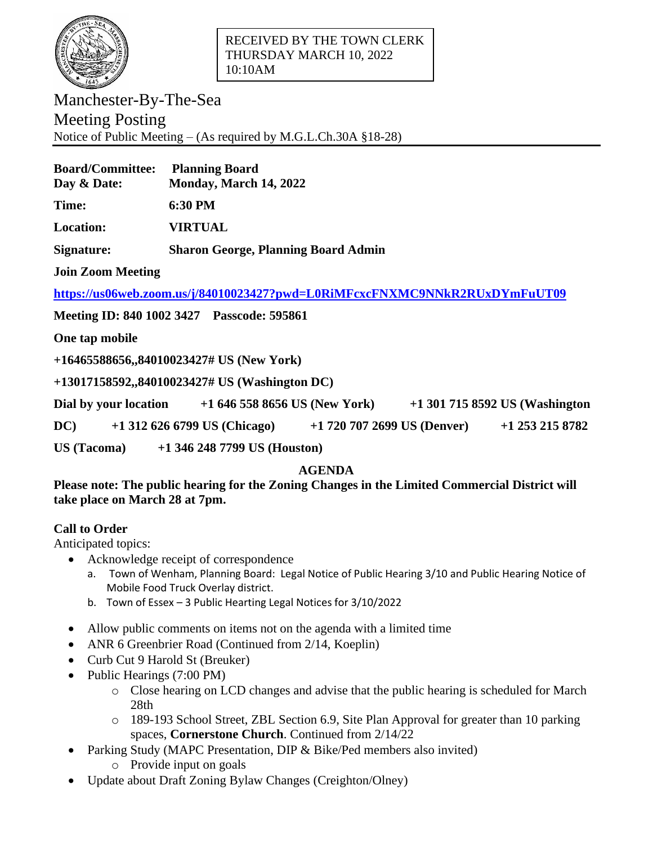

Manchester-By-The-Sea Meeting Posting Notice of Public Meeting – (As required by M.G.L.Ch.30A §18-28)

| <b>Board/Committee:</b><br>Day & Date: | <b>Planning Board</b><br>Monday, March 14, 2022 |
|----------------------------------------|-------------------------------------------------|
| <b>Time:</b>                           | 6:30 PM                                         |
| <b>Location:</b>                       | <b>VIRTUAL</b>                                  |
| Signature:                             | <b>Sharon George, Planning Board Admin</b>      |

**Join Zoom Meeting**

**<https://us06web.zoom.us/j/84010023427?pwd=L0RiMFcxcFNXMC9NNkR2RUxDYmFuUT09>**

**Meeting ID: 840 1002 3427 Passcode: 595861**

**One tap mobile**

**+16465588656,,84010023427# US (New York)**

**+13017158592,,84010023427# US (Washington DC)**

**Dial by your location +1 646 558 8656 US (New York) +1 301 715 8592 US (Washington** 

**DC) +1 312 626 6799 US (Chicago) +1 720 707 2699 US (Denver) +1 253 215 8782** 

**US (Tacoma) +1 346 248 7799 US (Houston)**

## **AGENDA**

**Please note: The public hearing for the Zoning Changes in the Limited Commercial District will take place on March 28 at 7pm.**

## **Call to Order**

Anticipated topics:

- Acknowledge receipt of correspondence
	- a. Town of Wenham, Planning Board: Legal Notice of Public Hearing 3/10 and Public Hearing Notice of Mobile Food Truck Overlay district.
	- b. Town of Essex 3 Public Hearting Legal Notices for 3/10/2022
- Allow public comments on items not on the agenda with a limited time
- ANR 6 Greenbrier Road (Continued from 2/14, Koeplin)
- Curb Cut 9 Harold St (Breuker)
- Public Hearings (7:00 PM)
	- o Close hearing on LCD changes and advise that the public hearing is scheduled for March 28th
	- o 189-193 School Street, ZBL Section 6.9, Site Plan Approval for greater than 10 parking spaces, **Cornerstone Church**. Continued from 2/14/22
- Parking Study (MAPC Presentation, DIP & Bike/Ped members also invited)
	- o Provide input on goals
- Update about Draft Zoning Bylaw Changes (Creighton/Olney)